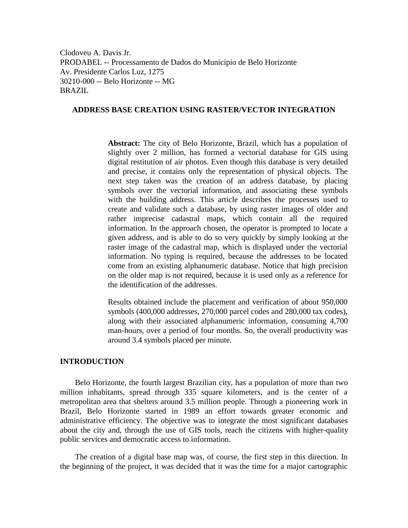Clodoveu A. Davis Jr. PRODABEL -- Processamento de Dados do Município de Belo Horizonte Av. Presidente Carlos Luz, 1275 30210-000 -- Belo Horizonte -- MG BRAZIL

# **ADDRESS BASE CREATION USING RASTER/VECTOR INTEGRATION**

**Abstract:** The city of Belo Horizonte, Brazil, which has a population of slightly over 2 million, has formed a vectorial database for GIS using digital restitution of air photos. Even though this database is very detailed and precise, it contains only the representation of physical objects. The next step taken was the creation of an address database, by placing symbols over the vectorial information, and associating these symbols with the building address. This article describes the processes used to create and validate such a database, by using raster images of older and rather imprecise cadastral maps, which contain all the required information. In the approach chosen, the operator is prompted to locate a given address, and is able to do so very quickly by simply looking at the raster image of the cadastral map, which is displayed under the vectorial information. No typing is required, because the addresses to be located come from an existing alphanumeric database. Notice that high precision on the older map is not required, because it is used only as a reference for the identification of the addresses.

Results obtained include the placement and verification of about 950,000 symbols (400,000 addresses, 270,000 parcel codes and 280,000 tax codes), along with their associated alphanumeric information, consuming 4,700 man-hours, over a period of four months. So, the overall productivity was around 3.4 symbols placed per minute.

#### **INTRODUCTION**

Belo Horizonte, the fourth largest Brazilian city, has a population of more than two million inhabitants, spread through 335 square kilometers, and is the center of a metropolitan area that shelters around 3.5 million people. Through a pioneering work in Brazil, Belo Horizonte started in 1989 an effort towards greater economic and administrative efficiency. The objective was to integrate the most significant databases about the city and, through the use of GIS tools, reach the citizens with higher-quality public services and democratic access to information.

The creation of a digital base map was, of course, the first step in this direction. In the beginning of the project, it was decided that it was the time for a major cartographic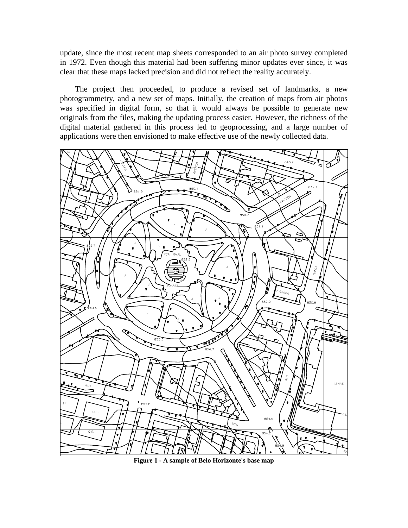update, since the most recent map sheets corresponded to an air photo survey completed in 1972. Even though this material had been suffering minor updates ever since, it was clear that these maps lacked precision and did not reflect the reality accurately.

The project then proceeded, to produce a revised set of landmarks, a new photogrammetry, and a new set of maps. Initially, the creation of maps from air photos was specified in digital form, so that it would always be possible to generate new originals from the files, making the updating process easier. However, the richness of the digital material gathered in this process led to geoprocessing, and a large number of applications were then envisioned to make effective use of the newly collected data.



**Figure 1 - A sample of Belo Horizonte's base map**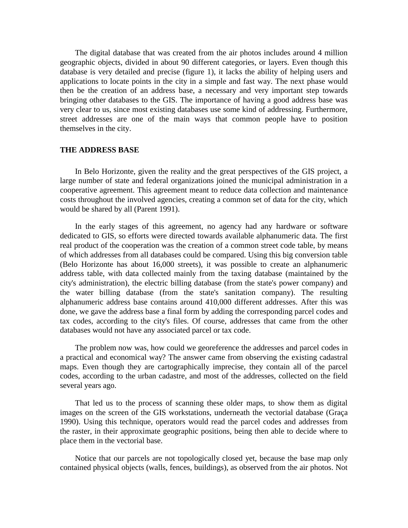The digital database that was created from the air photos includes around 4 million geographic objects, divided in about 90 different categories, or layers. Even though this database is very detailed and precise (figure 1), it lacks the ability of helping users and applications to locate points in the city in a simple and fast way. The next phase would then be the creation of an address base, a necessary and very important step towards bringing other databases to the GIS. The importance of having a good address base was very clear to us, since most existing databases use some kind of addressing. Furthermore, street addresses are one of the main ways that common people have to position themselves in the city.

### **THE ADDRESS BASE**

In Belo Horizonte, given the reality and the great perspectives of the GIS project, a large number of state and federal organizations joined the municipal administration in a cooperative agreement. This agreement meant to reduce data collection and maintenance costs throughout the involved agencies, creating a common set of data for the city, which would be shared by all (Parent 1991).

In the early stages of this agreement, no agency had any hardware or software dedicated to GIS, so efforts were directed towards available alphanumeric data. The first real product of the cooperation was the creation of a common street code table, by means of which addresses from all databases could be compared. Using this big conversion table (Belo Horizonte has about 16,000 streets), it was possible to create an alphanumeric address table, with data collected mainly from the taxing database (maintained by the city's administration), the electric billing database (from the state's power company) and the water billing database (from the state's sanitation company). The resulting alphanumeric address base contains around 410,000 different addresses. After this was done, we gave the address base a final form by adding the corresponding parcel codes and tax codes, according to the city's files. Of course, addresses that came from the other databases would not have any associated parcel or tax code.

The problem now was, how could we georeference the addresses and parcel codes in a practical and economical way? The answer came from observing the existing cadastral maps. Even though they are cartographically imprecise, they contain all of the parcel codes, according to the urban cadastre, and most of the addresses, collected on the field several years ago.

That led us to the process of scanning these older maps, to show them as digital images on the screen of the GIS workstations, underneath the vectorial database (Graça 1990). Using this technique, operators would read the parcel codes and addresses from the raster, in their approximate geographic positions, being then able to decide where to place them in the vectorial base.

Notice that our parcels are not topologically closed yet, because the base map only contained physical objects (walls, fences, buildings), as observed from the air photos. Not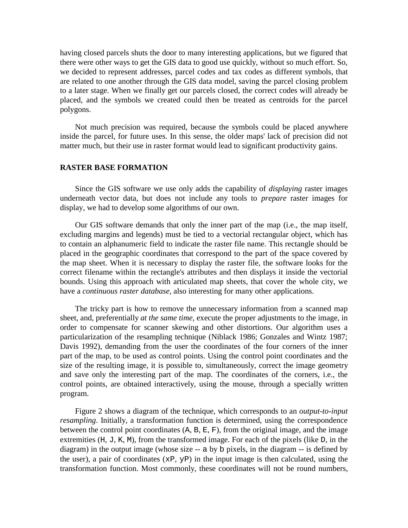having closed parcels shuts the door to many interesting applications, but we figured that there were other ways to get the GIS data to good use quickly, without so much effort. So, we decided to represent addresses, parcel codes and tax codes as different symbols, that are related to one another through the GIS data model, saving the parcel closing problem to a later stage. When we finally get our parcels closed, the correct codes will already be placed, and the symbols we created could then be treated as centroids for the parcel polygons.

Not much precision was required, because the symbols could be placed anywhere inside the parcel, for future uses. In this sense, the older maps' lack of precision did not matter much, but their use in raster format would lead to significant productivity gains.

#### **RASTER BASE FORMATION**

Since the GIS software we use only adds the capability of *displaying* raster images underneath vector data, but does not include any tools to *prepare* raster images for display, we had to develop some algorithms of our own.

Our GIS software demands that only the inner part of the map (i.e., the map itself, excluding margins and legends) must be tied to a vectorial rectangular object, which has to contain an alphanumeric field to indicate the raster file name. This rectangle should be placed in the geographic coordinates that correspond to the part of the space covered by the map sheet. When it is necessary to display the raster file, the software looks for the correct filename within the rectangle's attributes and then displays it inside the vectorial bounds. Using this approach with articulated map sheets, that cover the whole city, we have a *continuous raster database*, also interesting for many other applications.

The tricky part is how to remove the unnecessary information from a scanned map sheet, and, preferentially *at the same time,* execute the proper adjustments to the image, in order to compensate for scanner skewing and other distortions. Our algorithm uses a particularization of the resampling technique (Niblack 1986; Gonzales and Wintz 1987; Davis 1992), demanding from the user the coordinates of the four corners of the inner part of the map, to be used as control points. Using the control point coordinates and the size of the resulting image, it is possible to, simultaneously, correct the image geometry and save only the interesting part of the map. The coordinates of the corners, i.e., the control points, are obtained interactively, using the mouse, through a specially written program.

Figure 2 shows a diagram of the technique, which corresponds to an *output-to-input resampling*. Initially, a transformation function is determined, using the correspondence between the control point coordinates  $(A, B, E, F)$ , from the original image, and the image extremities (H, J, K, M), from the transformed image. For each of the pixels (like D, in the diagram) in the output image (whose size -- a by b pixels, in the diagram -- is defined by the user), a pair of coordinates  $(xP, yP)$  in the input image is then calculated, using the transformation function. Most commonly, these coordinates will not be round numbers,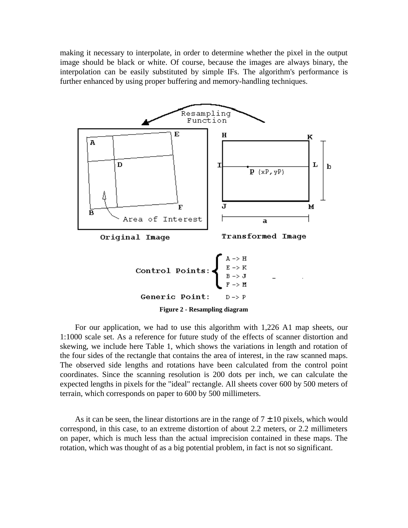making it necessary to interpolate, in order to determine whether the pixel in the output image should be black or white. Of course, because the images are always binary, the interpolation can be easily substituted by simple IFs. The algorithm's performance is further enhanced by using proper buffering and memory-handling techniques.



For our application, we had to use this algorithm with 1,226 A1 map sheets, our 1:1000 scale set. As a reference for future study of the effects of scanner distortion and skewing, we include here Table 1, which shows the variations in length and rotation of the four sides of the rectangle that contains the area of interest, in the raw scanned maps. The observed side lengths and rotations have been calculated from the control point coordinates. Since the scanning resolution is 200 dots per inch, we can calculate the expected lengths in pixels for the "ideal" rectangle. All sheets cover 600 by 500 meters of terrain, which corresponds on paper to 600 by 500 millimeters.

As it can be seen, the linear distortions are in the range of  $7 \pm 10$  pixels, which would correspond, in this case, to an extreme distortion of about 2.2 meters, or 2.2 millimeters on paper, which is much less than the actual imprecision contained in these maps. The rotation, which was thought of as a big potential problem, in fact is not so significant.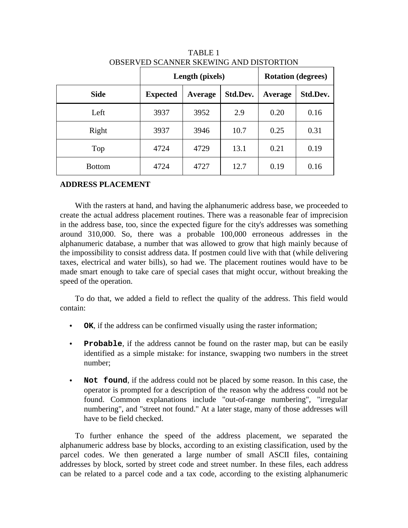|               | Length (pixels) |         |          | <b>Rotation (degrees)</b> |          |
|---------------|-----------------|---------|----------|---------------------------|----------|
| <b>Side</b>   | <b>Expected</b> | Average | Std.Dev. | Average                   | Std.Dev. |
| Left          | 3937            | 3952    | 2.9      | 0.20                      | 0.16     |
| Right         | 3937            | 3946    | 10.7     | 0.25                      | 0.31     |
| Top           | 4724            | 4729    | 13.1     | 0.21                      | 0.19     |
| <b>Bottom</b> | 4724            | 4727    | 12.7     | 0.19                      | 0.16     |

TABLE 1 OBSERVED SCANNER SKEWING AND DISTORTION

## **ADDRESS PLACEMENT**

With the rasters at hand, and having the alphanumeric address base, we proceeded to create the actual address placement routines. There was a reasonable fear of imprecision in the address base, too, since the expected figure for the city's addresses was something around 310,000. So, there was a probable 100,000 erroneous addresses in the alphanumeric database, a number that was allowed to grow that high mainly because of the impossibility to consist address data. If postmen could live with that (while delivering taxes, electrical and water bills), so had we. The placement routines would have to be made smart enough to take care of special cases that might occur, without breaking the speed of the operation.

To do that, we added a field to reflect the quality of the address. This field would contain:

- **OK**, if the address can be confirmed visually using the raster information;
- **Probable**, if the address cannot be found on the raster map, but can be easily identified as a simple mistake: for instance, swapping two numbers in the street number;
- **Not found**, if the address could not be placed by some reason. In this case, the operator is prompted for a description of the reason why the address could not be found. Common explanations include "out-of-range numbering", "irregular numbering", and "street not found." At a later stage, many of those addresses will have to be field checked.

To further enhance the speed of the address placement, we separated the alphanumeric address base by blocks, according to an existing classification, used by the parcel codes. We then generated a large number of small ASCII files, containing addresses by block, sorted by street code and street number. In these files, each address can be related to a parcel code and a tax code, according to the existing alphanumeric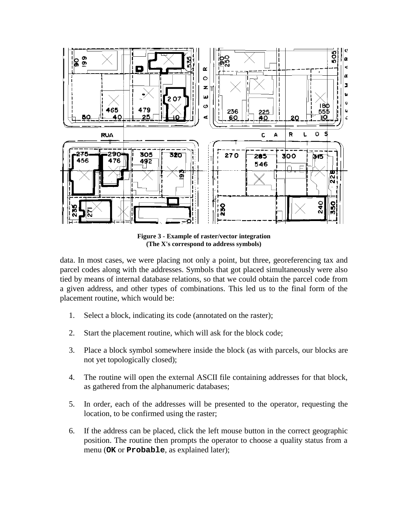

**Figure 3 - Example of raster/vector integration (The X's correspond to address symbols)**

data. In most cases, we were placing not only a point, but three, georeferencing tax and parcel codes along with the addresses. Symbols that got placed simultaneously were also tied by means of internal database relations, so that we could obtain the parcel code from a given address, and other types of combinations. This led us to the final form of the placement routine, which would be:

- 1. Select a block, indicating its code (annotated on the raster);
- 2. Start the placement routine, which will ask for the block code;
- 3. Place a block symbol somewhere inside the block (as with parcels, our blocks are not yet topologically closed);
- 4. The routine will open the external ASCII file containing addresses for that block, as gathered from the alphanumeric databases;
- 5. In order, each of the addresses will be presented to the operator, requesting the location, to be confirmed using the raster;
- 6. If the address can be placed, click the left mouse button in the correct geographic position. The routine then prompts the operator to choose a quality status from a menu (**OK** or **Probable**, as explained later);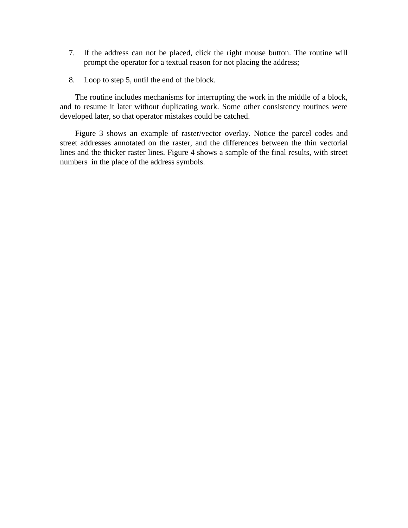- 7. If the address can not be placed, click the right mouse button. The routine will prompt the operator for a textual reason for not placing the address;
- 8. Loop to step 5, until the end of the block.

The routine includes mechanisms for interrupting the work in the middle of a block, and to resume it later without duplicating work. Some other consistency routines were developed later, so that operator mistakes could be catched.

Figure 3 shows an example of raster/vector overlay. Notice the parcel codes and street addresses annotated on the raster, and the differences between the thin vectorial lines and the thicker raster lines. Figure 4 shows a sample of the final results, with street numbers in the place of the address symbols.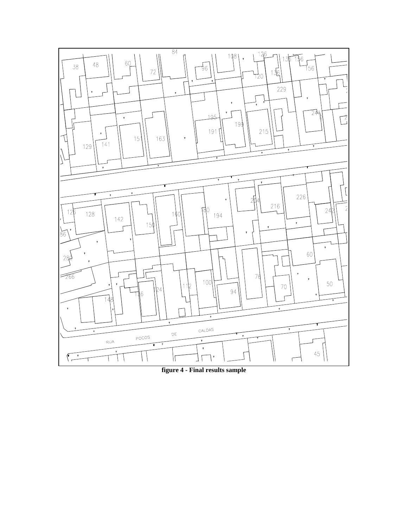

**figure 4 - Final results sample**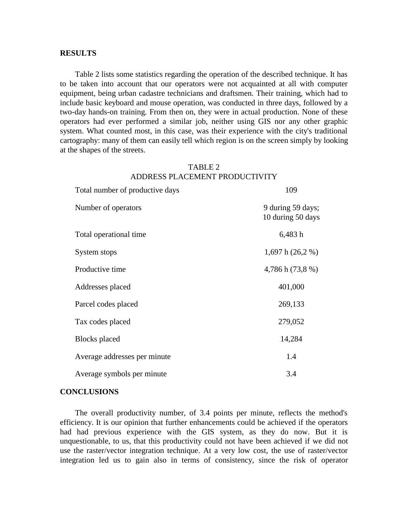#### **RESULTS**

Table 2 lists some statistics regarding the operation of the described technique. It has to be taken into account that our operators were not acquainted at all with computer equipment, being urban cadastre technicians and draftsmen. Their training, which had to include basic keyboard and mouse operation, was conducted in three days, followed by a two-day hands-on training. From then on, they were in actual production. None of these operators had ever performed a similar job, neither using GIS nor any other graphic system. What counted most, in this case, was their experience with the city's traditional cartography: many of them can easily tell which region is on the screen simply by looking at the shapes of the streets.

### TABLE 2 ADDRESS PLACEMENT PRODUCTIVITY

Total number of productive days 109

| Total manfoel of productive days | 102                                    |
|----------------------------------|----------------------------------------|
| Number of operators              | 9 during 59 days;<br>10 during 50 days |
| Total operational time           | 6,483h                                 |
| System stops                     | 1,697 h $(26,2\%)$                     |
| Productive time                  | 4,786 h (73,8 %)                       |
| Addresses placed                 | 401,000                                |
| Parcel codes placed              | 269,133                                |
| Tax codes placed                 | 279,052                                |
| <b>Blocks</b> placed             | 14,284                                 |
| Average addresses per minute     | 1.4                                    |
| Average symbols per minute       | 3.4                                    |

#### **CONCLUSIONS**

The overall productivity number, of 3.4 points per minute, reflects the method's efficiency. It is our opinion that further enhancements could be achieved if the operators had had previous experience with the GIS system, as they do now. But it is unquestionable, to us, that this productivity could not have been achieved if we did not use the raster/vector integration technique. At a very low cost, the use of raster/vector integration led us to gain also in terms of consistency, since the risk of operator